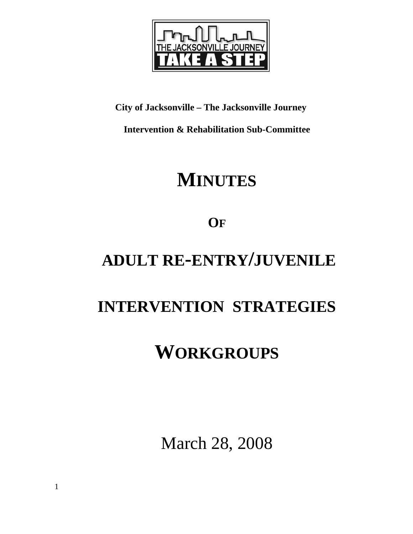

# **City of Jacksonville – The Jacksonville Journey**

**Intervention & Rehabilitation Sub-Committee** 

# **MINUTES**

# **OF**

# **ADULT RE-ENTRY/JUVENILE**

# **INTERVENTION STRATEGIES**

# **WORKGROUPS**

March 28, 2008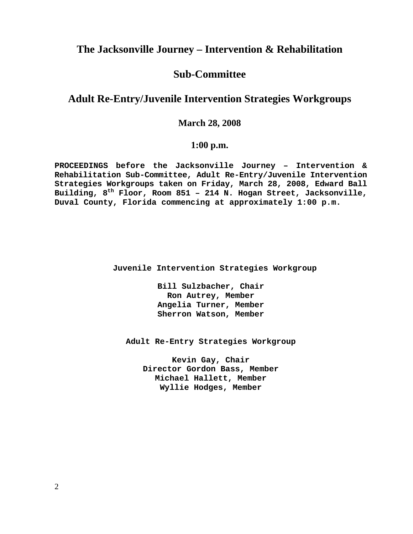# **The Jacksonville Journey – Intervention & Rehabilitation**

## **Sub-Committee**

# **Adult Re-Entry/Juvenile Intervention Strategies Workgroups**

## **March 28, 2008**

## **1:00 p.m.**

**PROCEEDINGS before the Jacksonville Journey – Intervention & Rehabilitation Sub-Committee, Adult Re-Entry/Juvenile Intervention Strategies Workgroups taken on Friday, March 28, 2008, Edward Ball Building, 8th Floor, Room 851 – 214 N. Hogan Street, Jacksonville, Duval County, Florida commencing at approximately 1:00 p.m.** 

 **Juvenile Intervention Strategies Workgroup** 

**Bill Sulzbacher, Chair Ron Autrey, Member Angelia Turner, Member Sherron Watson, Member** 

**Adult Re-Entry Strategies Workgroup** 

**Kevin Gay, Chair Director Gordon Bass, Member Michael Hallett, Member Wyllie Hodges, Member**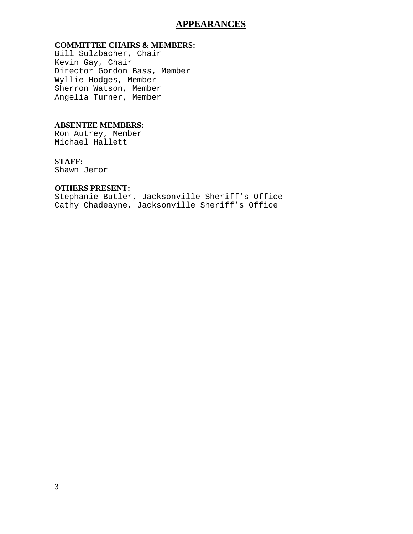## **APPEARANCES**

### **COMMITTEE CHAIRS & MEMBERS:**

Bill Sulzbacher, Chair Kevin Gay, Chair Director Gordon Bass, Member Wyllie Hodges, Member Sherron Watson, Member Angelia Turner, Member

#### **ABSENTEE MEMBERS:**

Ron Autrey, Member Michael Hallett

### **STAFF:**

Shawn Jeror

### **OTHERS PRESENT:**

Stephanie Butler, Jacksonville Sheriff's Office Cathy Chadeayne, Jacksonville Sheriff's Office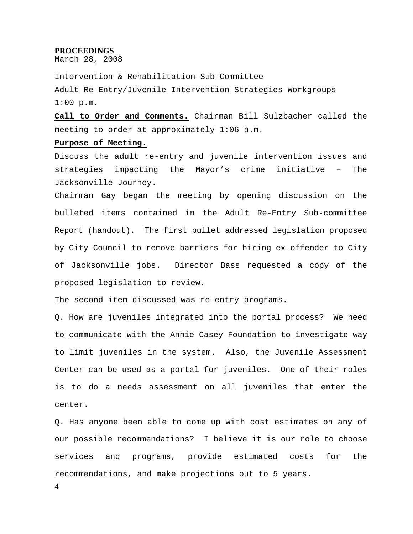#### **PROCEEDINGS**

March 28, 2008

Intervention & Rehabilitation Sub-Committee Adult Re-Entry/Juvenile Intervention Strategies Workgroups  $1:00$  p.m.

**Call to Order and Comments.** Chairman Bill Sulzbacher called the meeting to order at approximately 1:06 p.m.

#### **Purpose of Meeting.**

Discuss the adult re-entry and juvenile intervention issues and strategies impacting the Mayor's crime initiative – The Jacksonville Journey.

Chairman Gay began the meeting by opening discussion on the bulleted items contained in the Adult Re-Entry Sub-committee Report (handout). The first bullet addressed legislation proposed by City Council to remove barriers for hiring ex-offender to City of Jacksonville jobs. Director Bass requested a copy of the proposed legislation to review.

The second item discussed was re-entry programs.

Q. How are juveniles integrated into the portal process? We need to communicate with the Annie Casey Foundation to investigate way to limit juveniles in the system. Also, the Juvenile Assessment Center can be used as a portal for juveniles. One of their roles is to do a needs assessment on all juveniles that enter the center.

Q. Has anyone been able to come up with cost estimates on any of our possible recommendations? I believe it is our role to choose services and programs, provide estimated costs for the recommendations, and make projections out to 5 years.

4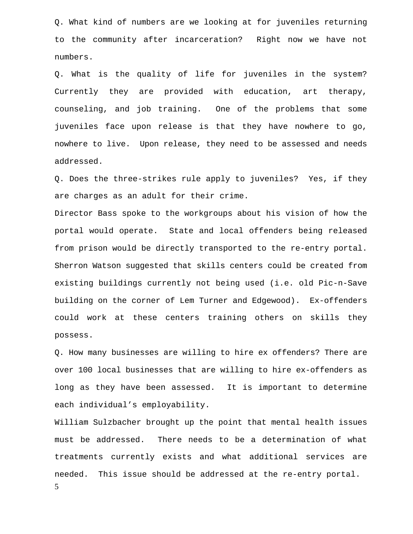Q. What kind of numbers are we looking at for juveniles returning to the community after incarceration? Right now we have not numbers.

Q. What is the quality of life for juveniles in the system? Currently they are provided with education, art therapy, counseling, and job training. One of the problems that some juveniles face upon release is that they have nowhere to go, nowhere to live. Upon release, they need to be assessed and needs addressed.

Q. Does the three-strikes rule apply to juveniles? Yes, if they are charges as an adult for their crime.

Director Bass spoke to the workgroups about his vision of how the portal would operate. State and local offenders being released from prison would be directly transported to the re-entry portal. Sherron Watson suggested that skills centers could be created from existing buildings currently not being used (i.e. old Pic-n-Save building on the corner of Lem Turner and Edgewood). Ex-offenders could work at these centers training others on skills they possess.

Q. How many businesses are willing to hire ex offenders? There are over 100 local businesses that are willing to hire ex-offenders as long as they have been assessed. It is important to determine each individual's employability.

5 William Sulzbacher brought up the point that mental health issues must be addressed. There needs to be a determination of what treatments currently exists and what additional services are needed. This issue should be addressed at the re-entry portal.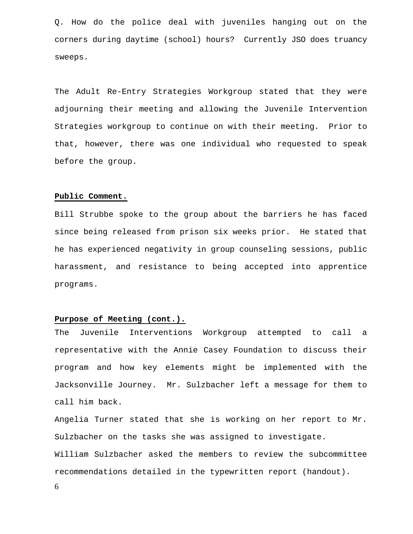Q. How do the police deal with juveniles hanging out on the corners during daytime (school) hours? Currently JSO does truancy sweeps.

The Adult Re-Entry Strategies Workgroup stated that they were adjourning their meeting and allowing the Juvenile Intervention Strategies workgroup to continue on with their meeting. Prior to that, however, there was one individual who requested to speak before the group.

### **Public Comment.**

Bill Strubbe spoke to the group about the barriers he has faced since being released from prison six weeks prior. He stated that he has experienced negativity in group counseling sessions, public harassment, and resistance to being accepted into apprentice programs.

### **Purpose of Meeting (cont.).**

The Juvenile Interventions Workgroup attempted to call a representative with the Annie Casey Foundation to discuss their program and how key elements might be implemented with the Jacksonville Journey. Mr. Sulzbacher left a message for them to call him back.

Angelia Turner stated that she is working on her report to Mr. Sulzbacher on the tasks she was assigned to investigate.

William Sulzbacher asked the members to review the subcommittee recommendations detailed in the typewritten report (handout).

6